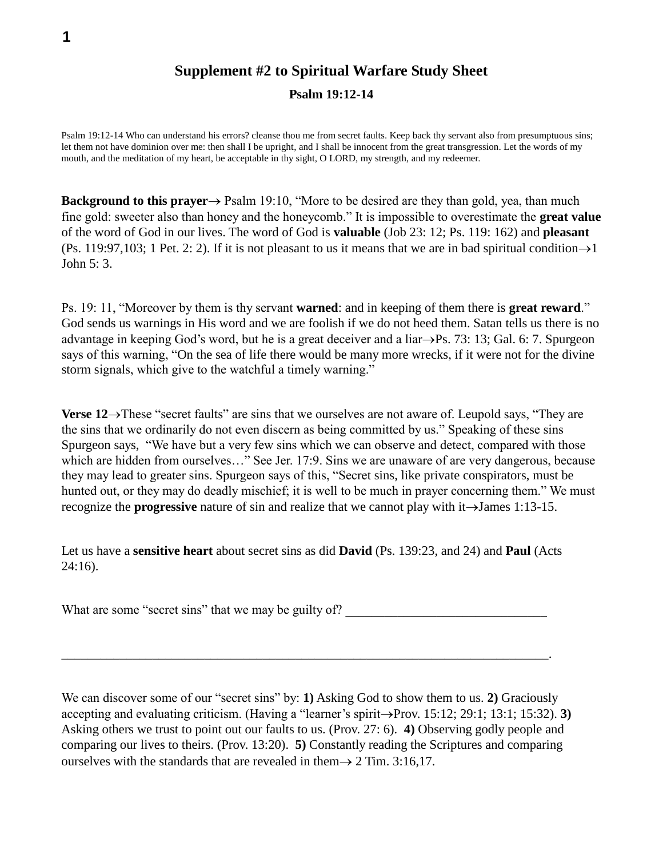## **Supplement #2 to Spiritual Warfare Study Sheet**

**Psalm 19:12-14**

Psalm 19:12-14 Who can understand his errors? cleanse thou me from secret faults. Keep back thy servant also from presumptuous sins; let them not have dominion over me: then shall I be upright, and I shall be innocent from the great transgression. Let the words of my mouth, and the meditation of my heart, be acceptable in thy sight, O LORD, my strength, and my redeemer.

**Background to this prayer**  $\rightarrow$  Psalm 19:10, "More to be desired are they than gold, yea, than much fine gold: sweeter also than honey and the honeycomb." It is impossible to overestimate the **great value** of the word of God in our lives. The word of God is **valuable** (Job 23: 12; Ps. 119: 162) and **pleasant**   $(P_s. 119:97,103; 1$  Pet. 2: 2). If it is not pleasant to us it means that we are in bad spiritual condition  $\rightarrow$  1 John 5: 3.

Ps. 19: 11, "Moreover by them is thy servant **warned**: and in keeping of them there is **great reward**." God sends us warnings in His word and we are foolish if we do not heed them. Satan tells us there is no advantage in keeping God's word, but he is a great deceiver and a liar $\rightarrow$ Ps. 73: 13; Gal. 6: 7. Spurgeon says of this warning, "On the sea of life there would be many more wrecks, if it were not for the divine storm signals, which give to the watchful a timely warning."

**Verse 12** $\rightarrow$ **These "secret faults" are sins that we ourselves are not aware of. Leupold says, "They are** the sins that we ordinarily do not even discern as being committed by us." Speaking of these sins Spurgeon says, "We have but a very few sins which we can observe and detect, compared with those which are hidden from ourselves…" See Jer. 17:9. Sins we are unaware of are very dangerous, because they may lead to greater sins. Spurgeon says of this, "Secret sins, like private conspirators, must be hunted out, or they may do deadly mischief; it is well to be much in prayer concerning them." We must recognize the **progressive** nature of sin and realize that we cannot play with it $\rightarrow$ James 1:13-15.

Let us have a **sensitive heart** about secret sins as did **David** (Ps. 139:23, and 24) and **Paul** (Acts 24:16).

What are some "secret sins" that we may be guilty of?

\_\_\_\_\_\_\_\_\_\_\_\_\_\_\_\_\_\_\_\_\_\_\_\_\_\_\_\_\_\_\_\_\_\_\_\_\_\_\_\_\_\_\_\_\_\_\_\_\_\_\_\_\_\_\_\_\_\_\_\_\_\_\_\_\_\_\_\_\_\_\_\_\_\_\_.

We can discover some of our "secret sins" by: **1)** Asking God to show them to us. **2)** Graciously accepting and evaluating criticism. (Having a "learner's spirit->Prov. 15:12; 29:1; 13:1; 15:32). **3**) Asking others we trust to point out our faults to us. (Prov. 27: 6). **4)** Observing godly people and comparing our lives to theirs. (Prov. 13:20). **5)** Constantly reading the Scriptures and comparing ourselves with the standards that are revealed in them  $\rightarrow$  2 Tim. 3:16,17.